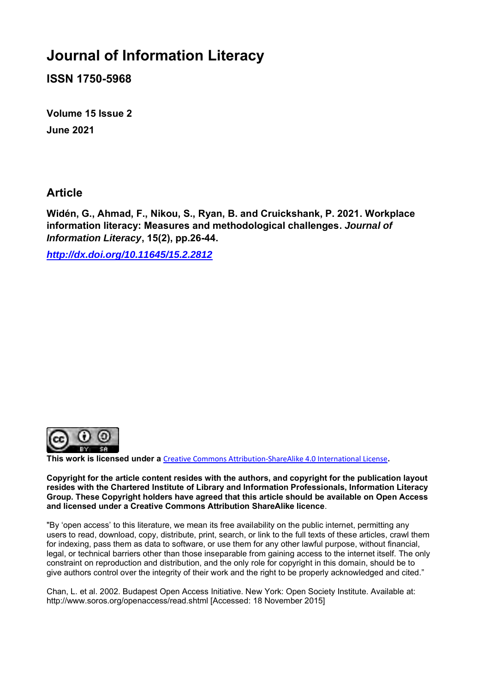# **Journal of Information Literacy**

**ISSN 1750-5968**

**Volume 15 Issue 2 June 2021**

### **Article**

**Widén, G., Ahmad, F., Nikou, S., Ryan, B. and Cruickshank, P. 2021. Workplace information literacy: Measures and methodological challenges.** *Journal of Information Literacy***, 15(2), pp.26-44.**

*<http://dx.doi.org/10.11645/15.2.2812>*



**This work is licensed under a** [Creative Commons Attribution-ShareAlike 4.0 International License](http://creativecommons.org/licenses/by-sa/4.0/)**.**

**Copyright for the article content resides with the authors, and copyright for the publication layout resides with the Chartered Institute of Library and Information Professionals, Information Literacy Group. These Copyright holders have agreed that this article should be available on Open Access and licensed under a Creative Commons Attribution ShareAlike licence**.

"By 'open access' to this literature, we mean its free availability on the public internet, permitting any users to read, download, copy, distribute, print, search, or link to the full texts of these articles, crawl them for indexing, pass them as data to software, or use them for any other lawful purpose, without financial, legal, or technical barriers other than those inseparable from gaining access to the internet itself. The only constraint on reproduction and distribution, and the only role for copyright in this domain, should be to give authors control over the integrity of their work and the right to be properly acknowledged and cited."

Chan, L. et al. 2002. Budapest Open Access Initiative. New York: Open Society Institute. Available at: http://www.soros.org/openaccess/read.shtml [Accessed: 18 November 2015]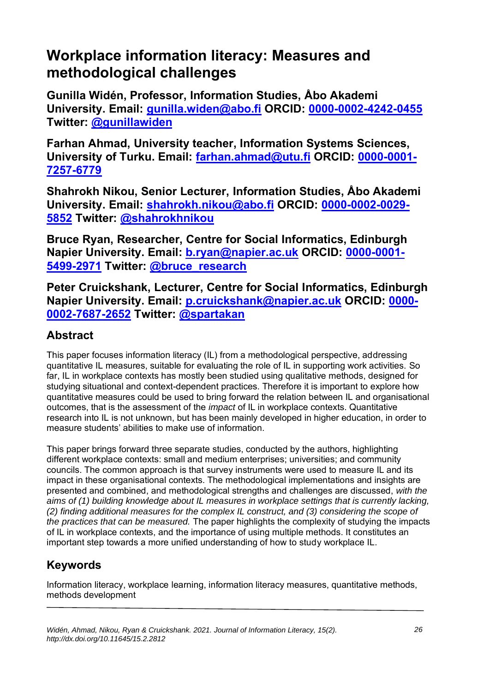# **Workplace information literacy: Measures and methodological challenges**

**Gunilla Widén, Professor, Information Studies, Åbo Akademi University. Email: [gunilla.widen@abo.fi](mailto:gunilla.widen@abo.fi) ORCID: [0000-0002-4242-0455](https://orcid.org/0000-0002-4242-0455) Twitter: [@gunillawiden](https://twitter.com/gunillawiden)**

**Farhan Ahmad, University teacher, Information Systems Sciences, University of Turku. Email: [farhan.ahmad@utu.fi](mailto:farhan.ahmad@utu.fi) ORCID: [0000-0001-](https://orcid.org/0000-0001-7257-6779) [7257-6779](https://orcid.org/0000-0001-7257-6779)**

**Shahrokh Nikou, Senior Lecturer, Information Studies, Åbo Akademi University. Email: [shahrokh.nikou@abo.fi](mailto:shahrokh.nikou@abo.fi) ORCID: [0000-0002-0029-](https://orcid.org/0000-0002-0029-5852) [5852](https://orcid.org/0000-0002-0029-5852) Twitter: [@shahrokhnikou](https://twitter.com/shahrokhnikou)**

**Bruce Ryan, Researcher, Centre for Social Informatics, Edinburgh Napier University. Email: [b.ryan@napier.ac.uk](mailto:b.ryan@napier.ac.uk) ORCID: [0000-0001-](http://orcid.org/0000-0001-5499-2971) [5499-2971](http://orcid.org/0000-0001-5499-2971) Twitter: [@bruce\\_research](https://twitter.com/bruce_research)**

**Peter Cruickshank, Lecturer, Centre for Social Informatics, Edinburgh Napier University. Email: [p.cruickshank@napier.ac.uk](mailto:p.cruickshank@napier.ac.uk) ORCID: [0000-](https://orcid.org/0000-0002-7687-2652) [0002-7687-2652](https://orcid.org/0000-0002-7687-2652) Twitter: [@spartakan](https://twitter.com/spartakan)**

## **Abstract**

This paper focuses information literacy (IL) from a methodological perspective, addressing quantitative IL measures, suitable for evaluating the role of IL in supporting work activities. So far, IL in workplace contexts has mostly been studied using qualitative methods, designed for studying situational and context-dependent practices. Therefore it is important to explore how quantitative measures could be used to bring forward the relation between IL and organisational outcomes, that is the assessment of the *impact* of IL in workplace contexts. Quantitative research into IL is not unknown, but has been mainly developed in higher education, in order to measure students' abilities to make use of information.

This paper brings forward three separate studies, conducted by the authors, highlighting different workplace contexts: small and medium enterprises; universities; and community councils. The common approach is that survey instruments were used to measure IL and its impact in these organisational contexts. The methodological implementations and insights are presented and combined, and methodological strengths and challenges are discussed, *with the aims of (1) building knowledge about IL measures in workplace settings that is currently lacking, (2) finding additional measures for the complex IL construct, and (3) considering the scope of the practices that can be measured.* The paper highlights the complexity of studying the impacts of IL in workplace contexts, and the importance of using multiple methods. It constitutes an important step towards a more unified understanding of how to study workplace IL.

# **Keywords**

Information literacy, workplace learning, information literacy measures, quantitative methods, methods development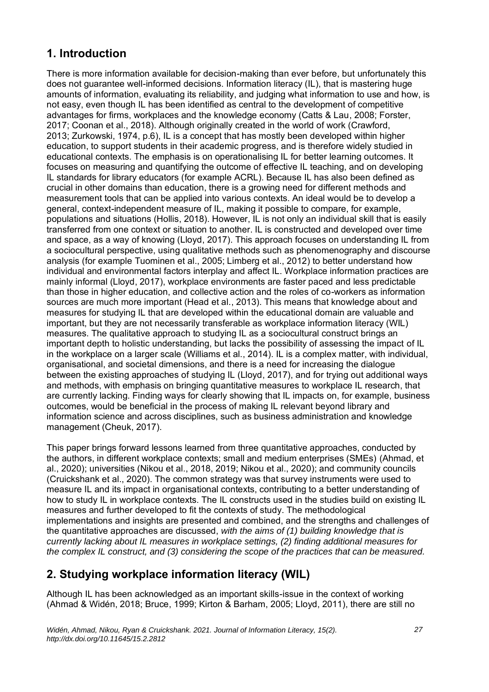## **1. Introduction**

There is more information available for decision-making than ever before, but unfortunately this does not guarantee well-informed decisions. Information literacy (IL), that is mastering huge amounts of information, evaluating its reliability, and judging what information to use and how, is not easy, even though IL has been identified as central to the development of competitive advantages for firms, workplaces and the knowledge economy (Catts & Lau, 2008; Forster, 2017; Coonan et al., 2018). Although originally created in the world of work (Crawford, 2013; Zurkowski, 1974, p.6), IL is a concept that has mostly been developed within higher education, to support students in their academic progress, and is therefore widely studied in educational contexts. The emphasis is on operationalising IL for better learning outcomes. It focuses on measuring and quantifying the outcome of effective IL teaching, and on developing IL standards for library educators (for example ACRL). Because IL has also been defined as crucial in other domains than education, there is a growing need for different methods and measurement tools that can be applied into various contexts. An ideal would be to develop a general, context-independent measure of IL, making it possible to compare, for example, populations and situations (Hollis, 2018). However, IL is not only an individual skill that is easily transferred from one context or situation to another. IL is constructed and developed over time and space, as a way of knowing (Lloyd, 2017). This approach focuses on understanding IL from a sociocultural perspective, using qualitative methods such as phenomenography and discourse analysis (for example Tuominen et al., 2005; Limberg et al., 2012) to better understand how individual and environmental factors interplay and affect IL. Workplace information practices are mainly informal (Lloyd, 2017), workplace environments are faster paced and less predictable than those in higher education, and collective action and the roles of co-workers as information sources are much more important (Head et al., 2013). This means that knowledge about and measures for studying IL that are developed within the educational domain are valuable and important, but they are not necessarily transferable as workplace information literacy (WIL) measures. The qualitative approach to studying IL as a sociocultural construct brings an important depth to holistic understanding, but lacks the possibility of assessing the impact of IL in the workplace on a larger scale (Williams et al., 2014). IL is a complex matter, with individual, organisational, and societal dimensions, and there is a need for increasing the dialogue between the existing approaches of studying IL (Lloyd, 2017), and for trying out additional ways and methods, with emphasis on bringing quantitative measures to workplace IL research, that are currently lacking. Finding ways for clearly showing that IL impacts on, for example, business outcomes, would be beneficial in the process of making IL relevant beyond library and information science and across disciplines, such as business administration and knowledge management (Cheuk, 2017).

This paper brings forward lessons learned from three quantitative approaches, conducted by the authors, in different workplace contexts; small and medium enterprises (SMEs) (Ahmad, et al., 2020); universities (Nikou et al., 2018, 2019; Nikou et al., 2020); and community councils (Cruickshank et al., 2020). The common strategy was that survey instruments were used to measure IL and its impact in organisational contexts, contributing to a better understanding of how to study IL in workplace contexts. The IL constructs used in the studies build on existing IL measures and further developed to fit the contexts of study. The methodological implementations and insights are presented and combined, and the strengths and challenges of the quantitative approaches are discussed, *with the aims of (1) building knowledge that is currently lacking about IL measures in workplace settings, (2) finding additional measures for the complex IL construct, and (3) considering the scope of the practices that can be measured.*

# **2. Studying workplace information literacy (WIL)**

Although IL has been acknowledged as an important skills-issue in the context of working (Ahmad & Widén, 2018; Bruce, 1999; Kirton & Barham, 2005; Lloyd, 2011), there are still no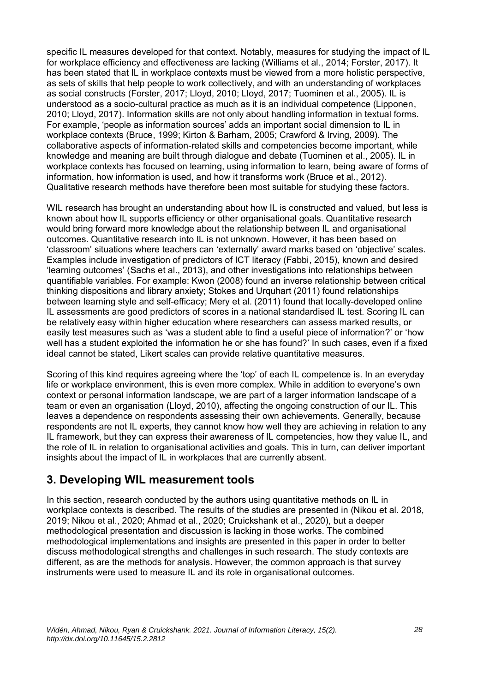specific IL measures developed for that context. Notably, measures for studying the impact of IL for workplace efficiency and effectiveness are lacking (Williams et al., 2014; Forster, 2017). It has been stated that IL in workplace contexts must be viewed from a more holistic perspective, as sets of skills that help people to work collectively, and with an understanding of workplaces as social constructs (Forster, 2017; Lloyd, 2010; Lloyd, 2017; Tuominen et al., 2005). IL is understood as a socio-cultural practice as much as it is an individual competence (Lipponen, 2010; Lloyd, 2017). Information skills are not only about handling information in textual forms. For example, 'people as information sources' adds an important social dimension to IL in workplace contexts (Bruce, 1999; Kirton & Barham, 2005; Crawford & Irving, 2009). The collaborative aspects of information-related skills and competencies become important, while knowledge and meaning are built through dialogue and debate (Tuominen et al., 2005). IL in workplace contexts has focused on learning, using information to learn, being aware of forms of information, how information is used, and how it transforms work (Bruce et al., 2012). Qualitative research methods have therefore been most suitable for studying these factors.

WIL research has brought an understanding about how IL is constructed and valued, but less is known about how IL supports efficiency or other organisational goals. Quantitative research would bring forward more knowledge about the relationship between IL and organisational outcomes. Quantitative research into IL is not unknown. However, it has been based on 'classroom' situations where teachers can 'externally' award marks based on 'objective' scales. Examples include investigation of predictors of ICT literacy (Fabbi, 2015), known and desired 'learning outcomes' (Sachs et al., 2013), and other investigations into relationships between quantifiable variables. For example: Kwon (2008) found an inverse relationship between critical thinking dispositions and library anxiety; Stokes and Urquhart (2011) found relationships between learning style and self-efficacy; Mery et al. (2011) found that locally-developed online IL assessments are good predictors of scores in a national standardised IL test. Scoring IL can be relatively easy within higher education where researchers can assess marked results, or easily test measures such as 'was a student able to find a useful piece of information?' or 'how well has a student exploited the information he or she has found?' In such cases, even if a fixed ideal cannot be stated, Likert scales can provide relative quantitative measures.

Scoring of this kind requires agreeing where the 'top' of each IL competence is. In an everyday life or workplace environment, this is even more complex. While in addition to everyone's own context or personal information landscape, we are part of a larger information landscape of a team or even an organisation (Lloyd, 2010), affecting the ongoing construction of our IL. This leaves a dependence on respondents assessing their own achievements. Generally, because respondents are not IL experts, they cannot know how well they are achieving in relation to any IL framework, but they can express their awareness of IL competencies, how they value IL, and the role of IL in relation to organisational activities and goals. This in turn, can deliver important insights about the impact of IL in workplaces that are currently absent.

### **3. Developing WIL measurement tools**

In this section, research conducted by the authors using quantitative methods on IL in workplace contexts is described. The results of the studies are presented in (Nikou et al. 2018, 2019; Nikou et al., 2020; Ahmad et al., 2020; Cruickshank et al., 2020), but a deeper methodological presentation and discussion is lacking in those works. The combined methodological implementations and insights are presented in this paper in order to better discuss methodological strengths and challenges in such research. The study contexts are different, as are the methods for analysis. However, the common approach is that survey instruments were used to measure IL and its role in organisational outcomes.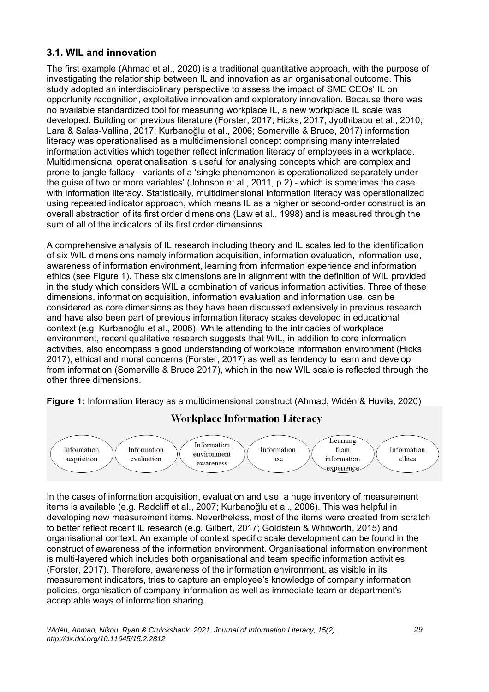#### **3.1. WIL and innovation**

The first example (Ahmad et al., 2020) is a traditional quantitative approach, with the purpose of investigating the relationship between IL and innovation as an organisational outcome. This study adopted an interdisciplinary perspective to assess the impact of SME CEOs' IL on opportunity recognition, exploitative innovation and exploratory innovation. Because there was no available standardized tool for measuring workplace IL, a new workplace IL scale was developed. Building on previous literature (Forster, 2017; Hicks, 2017, Jyothibabu et al., 2010; Lara & Salas-Vallina, 2017; Kurbanoğlu et al., 2006; Somerville & Bruce, 2017) information literacy was operationalised as a multidimensional concept comprising many interrelated information activities which together reflect information literacy of employees in a workplace. Multidimensional operationalisation is useful for analysing concepts which are complex and prone to jangle fallacy - variants of a 'single phenomenon is operationalized separately under the guise of two or more variables' (Johnson et al., 2011, p.2) - which is sometimes the case with information literacy. Statistically, multidimensional information literacy was operationalized using repeated indicator approach, which means IL as a higher or second-order construct is an overall abstraction of its first order dimensions (Law et al., 1998) and is measured through the sum of all of the indicators of its first order dimensions.

A comprehensive analysis of IL research including theory and IL scales led to the identification of six WIL dimensions namely information acquisition, information evaluation, information use, awareness of information environment, learning from information experience and information ethics (see Figure 1). These six dimensions are in alignment with the definition of WIL provided in the study which considers WIL a combination of various information activities. Three of these dimensions, information acquisition, information evaluation and information use, can be considered as core dimensions as they have been discussed extensively in previous research and have also been part of previous information literacy scales developed in educational context (e.g. Kurbanoğlu et al., 2006). While attending to the intricacies of workplace environment, recent qualitative research suggests that WIL, in addition to core information activities, also encompass a good understanding of workplace information environment (Hicks 2017), ethical and moral concerns (Forster, 2017) as well as tendency to learn and develop from information (Somerville & Bruce 2017), which in the new WIL scale is reflected through the other three dimensions.

**Figure 1:** Information literacy as a multidimensional construct (Ahmad, Widén & Huvila, 2020)



### **Workplace Information Literacy**

In the cases of information acquisition, evaluation and use, a huge inventory of measurement items is available (e.g. Radcliff et al., 2007; Kurbanoğlu et al., 2006). This was helpful in developing new measurement items. Nevertheless, most of the items were created from scratch to better reflect recent IL research (e.g. Gilbert, 2017; Goldstein & Whitworth, 2015) and organisational context. An example of context specific scale development can be found in the construct of awareness of the information environment. Organisational information environment is multi-layered which includes both organisational and team specific information activities (Forster, 2017). Therefore, awareness of the information environment, as visible in its measurement indicators, tries to capture an employee's knowledge of company information policies, organisation of company information as well as immediate team or department's acceptable ways of information sharing.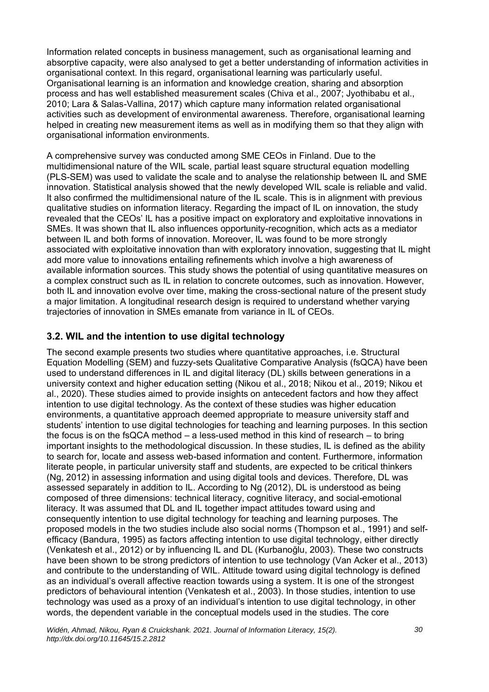Information related concepts in business management, such as organisational learning and absorptive capacity, were also analysed to get a better understanding of information activities in organisational context. In this regard, organisational learning was particularly useful. Organisational learning is an information and knowledge creation, sharing and absorption process and has well established measurement scales (Chiva et al., 2007; Jyothibabu et al., 2010; Lara & Salas-Vallina, 2017) which capture many information related organisational activities such as development of environmental awareness. Therefore, organisational learning helped in creating new measurement items as well as in modifying them so that they align with organisational information environments.

A comprehensive survey was conducted among SME CEOs in Finland. Due to the multidimensional nature of the WIL scale, partial least square structural equation modelling (PLS-SEM) was used to validate the scale and to analyse the relationship between IL and SME innovation. Statistical analysis showed that the newly developed WIL scale is reliable and valid. It also confirmed the multidimensional nature of the IL scale. This is in alignment with previous qualitative studies on information literacy. Regarding the impact of IL on innovation, the study revealed that the CEOs' IL has a positive impact on exploratory and exploitative innovations in SMEs. It was shown that IL also influences opportunity-recognition, which acts as a mediator between IL and both forms of innovation. Moreover, IL was found to be more strongly associated with exploitative innovation than with exploratory innovation, suggesting that IL might add more value to innovations entailing refinements which involve a high awareness of available information sources. This study shows the potential of using quantitative measures on a complex construct such as IL in relation to concrete outcomes, such as innovation. However, both IL and innovation evolve over time, making the cross-sectional nature of the present study a major limitation. A longitudinal research design is required to understand whether varying trajectories of innovation in SMEs emanate from variance in IL of CEOs.

### **3.2. WIL and the intention to use digital technology**

The second example presents two studies where quantitative approaches, i.e. Structural Equation Modelling (SEM) and fuzzy-sets Qualitative Comparative Analysis (fsQCA) have been used to understand differences in IL and digital literacy (DL) skills between generations in a university context and higher education setting (Nikou et al., 2018; Nikou et al., 2019; Nikou et al., 2020). These studies aimed to provide insights on antecedent factors and how they affect intention to use digital technology. As the context of these studies was higher education environments, a quantitative approach deemed appropriate to measure university staff and students' intention to use digital technologies for teaching and learning purposes. In this section the focus is on the fsQCA method  $-$  a less-used method in this kind of research  $-$  to bring important insights to the methodological discussion. In these studies, IL is defined as the ability to search for, locate and assess web-based information and content. Furthermore, information literate people, in particular university staff and students, are expected to be critical thinkers (Ng, 2012) in assessing information and using digital tools and devices. Therefore, DL was assessed separately in addition to IL. According to Ng (2012), DL is understood as being composed of three dimensions: technical literacy, cognitive literacy, and social-emotional literacy. It was assumed that DL and IL together impact attitudes toward using and consequently intention to use digital technology for teaching and learning purposes. The proposed models in the two studies include also social norms (Thompson et al., 1991) and selfefficacy (Bandura, 1995) as factors affecting intention to use digital technology, either directly (Venkatesh et al., 2012) or by influencing IL and DL (Kurbanoğlu, 2003). These two constructs have been shown to be strong predictors of intention to use technology (Van Acker et al., 2013) and contribute to the understanding of WIL. Attitude toward using digital technology is defined as an individual's overall affective reaction towards using a system. It is one of the strongest predictors of behavioural intention (Venkatesh et al., 2003). In those studies, intention to use technology was used as a proxy of an individual's intention to use digital technology, in other words, the dependent variable in the conceptual models used in the studies. The core

*Widén, Ahmad, Nikou, Ryan & Cruickshank. 2021. Journal of Information Literacy, 15(2). http://dx.doi.org/10.11645/15.2.2812*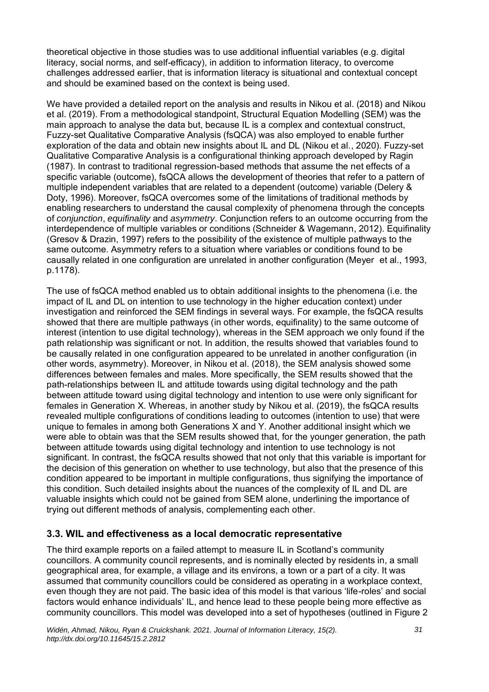theoretical objective in those studies was to use additional influential variables (e.g. digital literacy, social norms, and self-efficacy), in addition to information literacy, to overcome challenges addressed earlier, that is information literacy is situational and contextual concept and should be examined based on the context is being used.

We have provided a detailed report on the analysis and results in Nikou et al. (2018) and Nikou et al. (2019). From a methodological standpoint, Structural Equation Modelling (SEM) was the main approach to analyse the data but, because IL is a complex and contextual construct, Fuzzy-set Qualitative Comparative Analysis (fsQCA) was also employed to enable further exploration of the data and obtain new insights about IL and DL (Nikou et al., 2020). Fuzzy-set Qualitative Comparative Analysis is a configurational thinking approach developed by Ragin (1987). In contrast to traditional regression-based methods that assume the net effects of a specific variable (outcome), fsQCA allows the development of theories that refer to a pattern of multiple independent variables that are related to a dependent (outcome) variable (Delery & Doty, 1996). Moreover, fsQCA overcomes some of the limitations of traditional methods by enabling researchers to understand the causal complexity of phenomena through the concepts of *conjunction*, *equifinality* and *asymmetry*. Conjunction refers to an outcome occurring from the interdependence of multiple variables or conditions (Schneider & Wagemann, 2012). Equifinality (Gresov & Drazin, 1997) refers to the possibility of the existence of multiple pathways to the same outcome. Asymmetry refers to a situation where variables or conditions found to be causally related in one configuration are unrelated in another configuration (Meyer et al., 1993, p.1178).

The use of fsQCA method enabled us to obtain additional insights to the phenomena (i.e. the impact of IL and DL on intention to use technology in the higher education context) under investigation and reinforced the SEM findings in several ways. For example, the fsQCA results showed that there are multiple pathways (in other words, equifinality) to the same outcome of interest (intention to use digital technology), whereas in the SEM approach we only found if the path relationship was significant or not. In addition, the results showed that variables found to be causally related in one configuration appeared to be unrelated in another configuration (in other words, asymmetry). Moreover, in Nikou et al. (2018), the SEM analysis showed some differences between females and males. More specifically, the SEM results showed that the path-relationships between IL and attitude towards using digital technology and the path between attitude toward using digital technology and intention to use were only significant for females in Generation X. Whereas, in another study by Nikou et al. (2019), the fsQCA results revealed multiple configurations of conditions leading to outcomes (intention to use) that were unique to females in among both Generations X and Y. Another additional insight which we were able to obtain was that the SEM results showed that, for the younger generation, the path between attitude towards using digital technology and intention to use technology is not significant. In contrast, the fsQCA results showed that not only that this variable is important for the decision of this generation on whether to use technology, but also that the presence of this condition appeared to be important in multiple configurations, thus signifying the importance of this condition. Such detailed insights about the nuances of the complexity of IL and DL are valuable insights which could not be gained from SEM alone, underlining the importance of trying out different methods of analysis, complementing each other.

#### **3.3. WIL and effectiveness as a local democratic representative**

The third example reports on a failed attempt to measure IL in Scotland's community councillors. A community council represents, and is nominally elected by residents in, a small geographical area, for example, a village and its environs, a town or a part of a city. It was assumed that community councillors could be considered as operating in a workplace context, even though they are not paid. The basic idea of this model is that various 'life-roles' and social factors would enhance individuals' IL, and hence lead to these people being more effective as community councillors. This model was developed into a set of hypotheses (outlined in Figure 2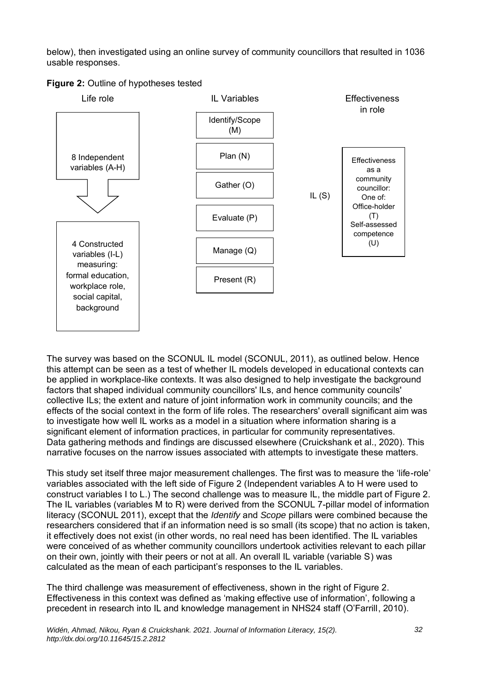below), then investigated using an online survey of community councillors that resulted in 1036 usable responses.





The survey was based on the SCONUL IL model (SCONUL, 2011), as outlined below. Hence this attempt can be seen as a test of whether IL models developed in educational contexts can be applied in workplace-like contexts. It was also designed to help investigate the background factors that shaped individual community councillors' ILs, and hence community councils' collective ILs; the extent and nature of joint information work in community councils; and the effects of the social context in the form of life roles. The researchers' overall significant aim was to investigate how well IL works as a model in a situation where information sharing is a significant element of information practices, in particular for community representatives. Data gathering methods and findings are discussed elsewhere (Cruickshank et al., 2020). This narrative focuses on the narrow issues associated with attempts to investigate these matters.

This study set itself three major measurement challenges. The first was to measure the 'life-role' variables associated with the left side of Figure 2 (Independent variables A to H were used to construct variables I to L.) The second challenge was to measure IL, the middle part of Figure 2. The IL variables (variables M to R) were derived from the SCONUL 7-pillar model of information literacy (SCONUL 2011), except that the *Identify* and *Scope* pillars were combined because the researchers considered that if an information need is so small (its scope) that no action is taken, it effectively does not exist (in other words, no real need has been identified. The IL variables were conceived of as whether community councillors undertook activities relevant to each pillar on their own, jointly with their peers or not at all. An overall IL variable (variable S) was calculated as the mean of each participant's responses to the IL variables.

The third challenge was measurement of effectiveness, shown in the right of Figure 2. Effectiveness in this context was defined as 'making effective use of information', following a precedent in research into IL and knowledge management in NHS24 staff (O'Farrill, 2010).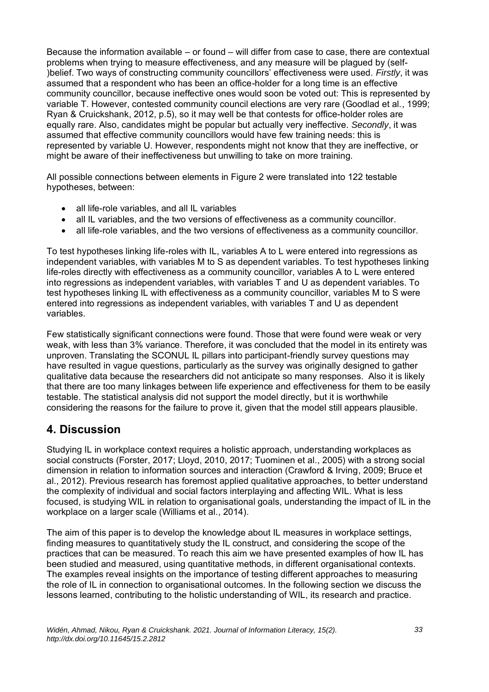Because the information available – or found – will differ from case to case, there are contextual problems when trying to measure effectiveness, and any measure will be plagued by (self- )belief. Two ways of constructing community councillors' effectiveness were used. *Firstly*, it was assumed that a respondent who has been an office-holder for a long time is an effective community councillor, because ineffective ones would soon be voted out: This is represented by variable T. However, contested community council elections are very rare (Goodlad et al., 1999; Ryan & Cruickshank, 2012, p.5), so it may well be that contests for office-holder roles are equally rare. Also, candidates might be popular but actually very ineffective. *Secondly*, it was assumed that effective community councillors would have few training needs: this is represented by variable U. However, respondents might not know that they are ineffective, or might be aware of their ineffectiveness but unwilling to take on more training.

All possible connections between elements in Figure 2 were translated into 122 testable hypotheses, between:

- all life-role variables, and all IL variables
- all IL variables, and the two versions of effectiveness as a community councillor.
- all life-role variables, and the two versions of effectiveness as a community councillor.

To test hypotheses linking life-roles with IL, variables A to L were entered into regressions as independent variables, with variables M to S as dependent variables. To test hypotheses linking life-roles directly with effectiveness as a community councillor, variables A to L were entered into regressions as independent variables, with variables T and U as dependent variables. To test hypotheses linking IL with effectiveness as a community councillor, variables M to S were entered into regressions as independent variables, with variables T and U as dependent variables.

Few statistically significant connections were found. Those that were found were weak or very weak, with less than 3% variance. Therefore, it was concluded that the model in its entirety was unproven. Translating the SCONUL IL pillars into participant-friendly survey questions may have resulted in vague questions, particularly as the survey was originally designed to gather qualitative data because the researchers did not anticipate so many responses. Also it is likely that there are too many linkages between life experience and effectiveness for them to be easily testable. The statistical analysis did not support the model directly, but it is worthwhile considering the reasons for the failure to prove it, given that the model still appears plausible.

### **4. Discussion**

Studying IL in workplace context requires a holistic approach, understanding workplaces as social constructs (Forster, 2017; Lloyd, 2010, 2017; Tuominen et al., 2005) with a strong social dimension in relation to information sources and interaction (Crawford & Irving, 2009; Bruce et al., 2012). Previous research has foremost applied qualitative approaches, to better understand the complexity of individual and social factors interplaying and affecting WIL. What is less focused, is studying WIL in relation to organisational goals, understanding the impact of IL in the workplace on a larger scale (Williams et al., 2014).

The aim of this paper is to develop the knowledge about IL measures in workplace settings, finding measures to quantitatively study the IL construct, and considering the scope of the practices that can be measured. To reach this aim we have presented examples of how IL has been studied and measured, using quantitative methods, in different organisational contexts. The examples reveal insights on the importance of testing different approaches to measuring the role of IL in connection to organisational outcomes. In the following section we discuss the lessons learned, contributing to the holistic understanding of WIL, its research and practice.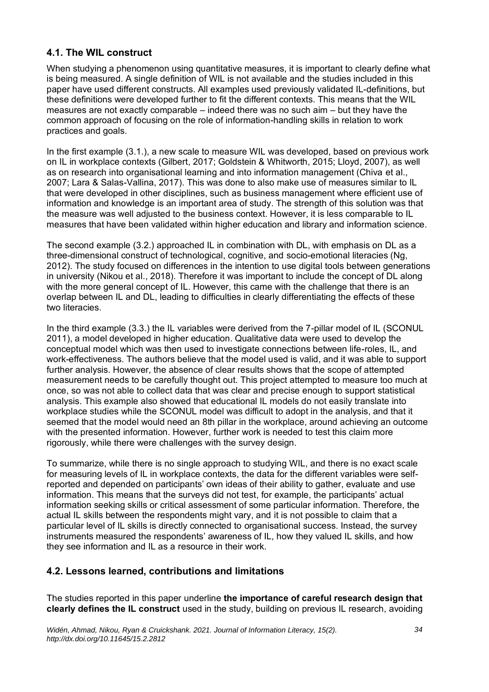#### **4.1. The WIL construct**

When studying a phenomenon using quantitative measures, it is important to clearly define what is being measured. A single definition of WIL is not available and the studies included in this paper have used different constructs. All examples used previously validated IL-definitions, but these definitions were developed further to fit the different contexts. This means that the WIL measures are not exactly comparable – indeed there was no such aim – but they have the common approach of focusing on the role of information-handling skills in relation to work practices and goals.

In the first example (3.1.), a new scale to measure WIL was developed, based on previous work on IL in workplace contexts (Gilbert, 2017; Goldstein & Whitworth, 2015; Lloyd, 2007), as well as on research into organisational learning and into information management (Chiva et al., 2007; Lara & Salas-Vallina, 2017). This was done to also make use of measures similar to IL that were developed in other disciplines, such as business management where efficient use of information and knowledge is an important area of study. The strength of this solution was that the measure was well adjusted to the business context. However, it is less comparable to IL measures that have been validated within higher education and library and information science.

The second example (3.2.) approached IL in combination with DL, with emphasis on DL as a three-dimensional construct of technological, cognitive, and socio-emotional literacies (Ng, 2012). The study focused on differences in the intention to use digital tools between generations in university (Nikou et al., 2018). Therefore it was important to include the concept of DL along with the more general concept of IL. However, this came with the challenge that there is an overlap between IL and DL, leading to difficulties in clearly differentiating the effects of these two literacies

In the third example (3.3.) the IL variables were derived from the 7-pillar model of IL (SCONUL 2011), a model developed in higher education. Qualitative data were used to develop the conceptual model which was then used to investigate connections between life-roles, IL, and work-effectiveness. The authors believe that the model used is valid, and it was able to support further analysis. However, the absence of clear results shows that the scope of attempted measurement needs to be carefully thought out. This project attempted to measure too much at once, so was not able to collect data that was clear and precise enough to support statistical analysis. This example also showed that educational IL models do not easily translate into workplace studies while the SCONUL model was difficult to adopt in the analysis, and that it seemed that the model would need an 8th pillar in the workplace, around achieving an outcome with the presented information. However, further work is needed to test this claim more rigorously, while there were challenges with the survey design.

To summarize, while there is no single approach to studying WIL, and there is no exact scale for measuring levels of IL in workplace contexts, the data for the different variables were selfreported and depended on participants' own ideas of their ability to gather, evaluate and use information. This means that the surveys did not test, for example, the participants' actual information seeking skills or critical assessment of some particular information. Therefore, the actual IL skills between the respondents might vary, and it is not possible to claim that a particular level of IL skills is directly connected to organisational success. Instead, the survey instruments measured the respondents' awareness of IL, how they valued IL skills, and how they see information and IL as a resource in their work.

### **4.2. Lessons learned, contributions and limitations**

The studies reported in this paper underline **the importance of careful research design that clearly defines the IL construct** used in the study, building on previous IL research, avoiding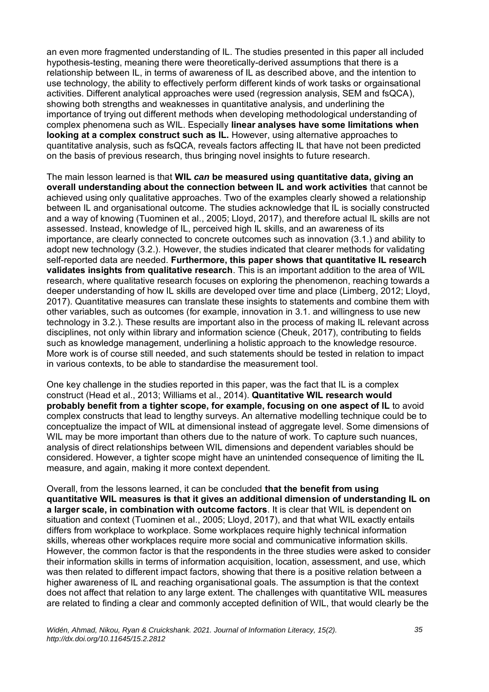an even more fragmented understanding of IL. The studies presented in this paper all included hypothesis-testing, meaning there were theoretically-derived assumptions that there is a relationship between IL, in terms of awareness of IL as described above, and the intention to use technology, the ability to effectively perform different kinds of work tasks or orgainsational activities. Different analytical approaches were used (regression analysis, SEM and fsQCA), showing both strengths and weaknesses in quantitative analysis, and underlining the importance of trying out different methods when developing methodological understanding of complex phenomena such as WIL. Especially **linear analyses have some limitations when looking at a complex construct such as IL.** However, using alternative approaches to quantitative analysis, such as fsQCA, reveals factors affecting IL that have not been predicted on the basis of previous research, thus bringing novel insights to future research.

The main lesson learned is that **WIL** *can* **be measured using quantitative data, giving an overall understanding about the connection between IL and work activities** that cannot be achieved using only qualitative approaches. Two of the examples clearly showed a relationship between IL and organisational outcome. The studies acknowledge that IL is socially constructed and a way of knowing (Tuominen et al., 2005; Lloyd, 2017), and therefore actual IL skills are not assessed. Instead, knowledge of IL, perceived high IL skills, and an awareness of its importance, are clearly connected to concrete outcomes such as innovation (3.1.) and ability to adopt new technology (3.2.). However, the studies indicated that clearer methods for validating self-reported data are needed. **Furthermore, this paper shows that quantitative IL research validates insights from qualitative research**. This is an important addition to the area of WIL research, where qualitative research focuses on exploring the phenomenon, reaching towards a deeper understanding of how IL skills are developed over time and place (Limberg, 2012; Lloyd, 2017). Quantitative measures can translate these insights to statements and combine them with other variables, such as outcomes (for example, innovation in 3.1. and willingness to use new technology in 3.2.). These results are important also in the process of making IL relevant across disciplines, not only within library and information science (Cheuk, 2017), contributing to fields such as knowledge management, underlining a holistic approach to the knowledge resource. More work is of course still needed, and such statements should be tested in relation to impact in various contexts, to be able to standardise the measurement tool.

One key challenge in the studies reported in this paper, was the fact that IL is a complex construct (Head et al., 2013; Williams et al., 2014). **Quantitative WIL research would probably benefit from a tighter scope, for example, focusing on one aspect of IL** to avoid complex constructs that lead to lengthy surveys. An alternative modelling technique could be to conceptualize the impact of WIL at dimensional instead of aggregate level. Some dimensions of WIL may be more important than others due to the nature of work. To capture such nuances, analysis of direct relationships between WIL dimensions and dependent variables should be considered. However, a tighter scope might have an unintended consequence of limiting the IL measure, and again, making it more context dependent.

Overall, from the lessons learned, it can be concluded **that the benefit from using quantitative WIL measures is that it gives an additional dimension of understanding IL on a larger scale, in combination with outcome factors**. It is clear that WIL is dependent on situation and context (Tuominen et al., 2005; Lloyd, 2017), and that what WIL exactly entails differs from workplace to workplace. Some workplaces require highly technical information skills, whereas other workplaces require more social and communicative information skills. However, the common factor is that the respondents in the three studies were asked to consider their information skills in terms of information acquisition, location, assessment, and use, which was then related to different impact factors, showing that there is a positive relation between a higher awareness of IL and reaching organisational goals. The assumption is that the context does not affect that relation to any large extent. The challenges with quantitative WIL measures are related to finding a clear and commonly accepted definition of WIL, that would clearly be the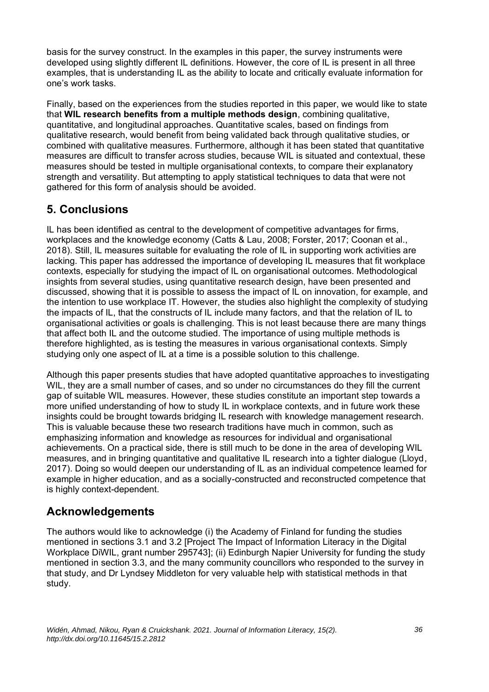basis for the survey construct. In the examples in this paper, the survey instruments were developed using slightly different IL definitions. However, the core of IL is present in all three examples, that is understanding IL as the ability to locate and critically evaluate information for one's work tasks.

Finally, based on the experiences from the studies reported in this paper, we would like to state that **WIL research benefits from a multiple methods design**, combining qualitative, quantitative, and longitudinal approaches. Quantitative scales, based on findings from qualitative research, would benefit from being validated back through qualitative studies, or combined with qualitative measures. Furthermore, although it has been stated that quantitative measures are difficult to transfer across studies, because WIL is situated and contextual, these measures should be tested in multiple organisational contexts, to compare their explanatory strength and versatility. But attempting to apply statistical techniques to data that were not gathered for this form of analysis should be avoided.

## **5. Conclusions**

IL has been identified as central to the development of competitive advantages for firms, workplaces and the knowledge economy (Catts & Lau, 2008; Forster, 2017; Coonan et al., 2018). Still, IL measures suitable for evaluating the role of IL in supporting work activities are lacking. This paper has addressed the importance of developing IL measures that fit workplace contexts, especially for studying the impact of IL on organisational outcomes. Methodological insights from several studies, using quantitative research design, have been presented and discussed, showing that it is possible to assess the impact of IL on innovation, for example, and the intention to use workplace IT. However, the studies also highlight the complexity of studying the impacts of IL, that the constructs of IL include many factors, and that the relation of IL to organisational activities or goals is challenging. This is not least because there are many things that affect both IL and the outcome studied. The importance of using multiple methods is therefore highlighted, as is testing the measures in various organisational contexts. Simply studying only one aspect of IL at a time is a possible solution to this challenge.

Although this paper presents studies that have adopted quantitative approaches to investigating WIL, they are a small number of cases, and so under no circumstances do they fill the current gap of suitable WIL measures. However, these studies constitute an important step towards a more unified understanding of how to study IL in workplace contexts, and in future work these insights could be brought towards bridging IL research with knowledge management research. This is valuable because these two research traditions have much in common, such as emphasizing information and knowledge as resources for individual and organisational achievements. On a practical side, there is still much to be done in the area of developing WIL measures, and in bringing quantitative and qualitative IL research into a tighter dialogue (Llovd. 2017). Doing so would deepen our understanding of IL as an individual competence learned for example in higher education, and as a socially-constructed and reconstructed competence that is highly context-dependent.

### **Acknowledgements**

The authors would like to acknowledge (i) the Academy of Finland for funding the studies mentioned in sections 3.1 and 3.2 [Project The Impact of Information Literacy in the Digital Workplace DiWIL, grant number 295743]; (ii) Edinburgh Napier University for funding the study mentioned in section 3.3, and the many community councillors who responded to the survey in that study, and Dr Lyndsey Middleton for very valuable help with statistical methods in that study.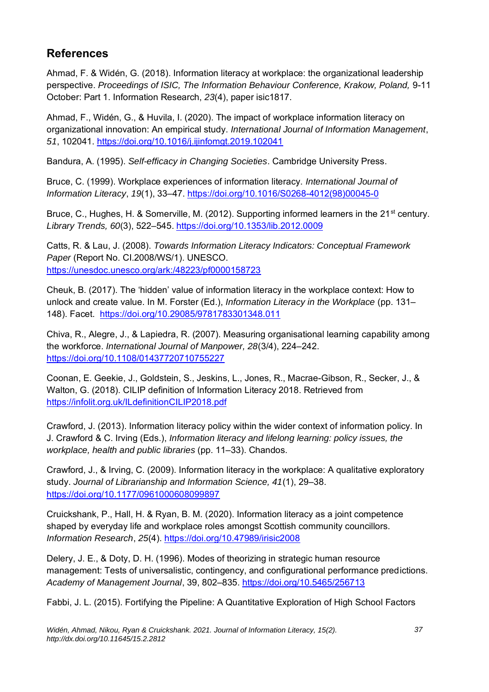## **References**

Ahmad, F. & Widén, G. (2018). Information literacy at workplace: the organizational leadership perspective. *Proceedings of ISIC, The Information Behaviour Conference, Krakow, Poland,* 9-11 October: Part 1. Information Research, *23*(4), paper isic1817.

Ahmad, F., Widén, G., & Huvila, I. (2020). The impact of workplace information literacy on organizational innovation: An empirical study. *International Journal of Information Management*, *51*, 102041. <https://doi.org/10.1016/j.ijinfomgt.2019.102041>

Bandura, A. (1995). *Self-efficacy in Changing Societies*. Cambridge University Press.

Bruce, C. (1999). Workplace experiences of information literacy. *International Journal of Information Literacy*, *19*(1), 33–47. [https://doi.org/10.1016/S0268-4012\(98\)00045-0](https://doi.org/10.1016/S0268-4012(98)00045-0)

Bruce, C., Hughes, H. & Somerville, M. (2012). Supporting informed learners in the 21<sup>st</sup> century. *Library Trends, 60*(3), 522–545. <https://doi.org/10.1353/lib.2012.0009>

Catts, R. & Lau, J. (2008). *Towards Information Literacy Indicators: Conceptual Framework Paper* (Report No. CI.2008/WS/1). UNESCO. <https://unesdoc.unesco.org/ark:/48223/pf0000158723>

Cheuk, B. (2017). The 'hidden' value of information literacy in the workplace context: How to unlock and create value. In M. Forster (Ed.), *Information Literacy in the Workplace* (pp. 131– 148). Facet. <https://doi.org/10.29085/9781783301348.011>

Chiva, R., Alegre, J., & Lapiedra, R. (2007). Measuring organisational learning capability among the workforce. *International Journal of Manpower, 28*(3/4), 224–242. <https://doi.org/10.1108/01437720710755227>

Coonan, E. Geekie, J., Goldstein, S., Jeskins, L., Jones, R., Macrae-Gibson, R., Secker, J., & Walton, G. (2018). CILIP definition of Information Literacy 2018. Retrieved from <https://infolit.org.uk/ILdefinitionCILIP2018.pdf>

Crawford, J. (2013). Information literacy policy within the wider context of information policy. In J. Crawford & C. Irving (Eds.), *Information literacy and lifelong learning: policy issues, the workplace, health and public libraries* (pp. 11–33). Chandos.

Crawford, J., & Irving, C. (2009). Information literacy in the workplace: A qualitative exploratory study. *Journal of Librarianship and Information Science, 41*(1), 29–38. <https://doi.org/10.1177/0961000608099897>

Cruickshank, P., Hall, H. & Ryan, B. M. (2020). Information literacy as a joint competence shaped by everyday life and workplace roles amongst Scottish community councillors. *Information Research*, *25*(4). <https://doi.org/10.47989/irisic2008>

Delery, J. E., & Doty, D. H. (1996). Modes of theorizing in strategic human resource management: Tests of universalistic, contingency, and configurational performance predictions. *Academy of Management Journal*, 39, 802–835. <https://doi.org/10.5465/256713>

Fabbi, J. L. (2015). Fortifying the Pipeline: A Quantitative Exploration of High School Factors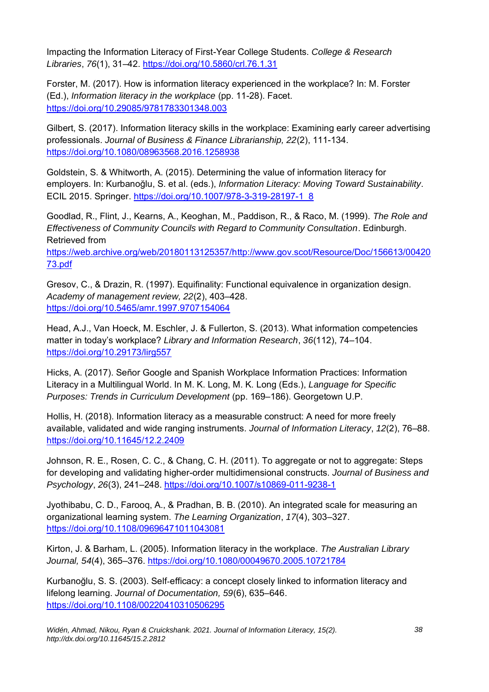Impacting the Information Literacy of First-Year College Students. *College & Research Libraries*, *76*(1), 31–42.<https://doi.org/10.5860/crl.76.1.31>

Forster, M. (2017). How is information literacy experienced in the workplace? In: M. Forster (Ed.), *Information literacy in the workplace* (pp. 11-28). Facet. <https://doi.org/10.29085/9781783301348.003>

Gilbert, S. (2017). Information literacy skills in the workplace: Examining early career advertising professionals. *Journal of Business & Finance Librarianship, 22*(2), 111-134. <https://doi.org/10.1080/08963568.2016.1258938>

Goldstein, S. & Whitworth, A. (2015). Determining the value of information literacy for employers. In: Kurbanoğlu, S. et al. (eds.), *Information Literacy: Moving Toward Sustainability*. ECIL 2015. Springer. [https://doi.org/10.1007/978-3-319-28197-1\\_8](https://doi.org/10.1007/978-3-319-28197-1_8)

Goodlad, R., Flint, J., Kearns, A., Keoghan, M., Paddison, R., & Raco, M. (1999). *The Role and Effectiveness of Community Councils with Regard to Community Consultation*. Edinburgh. Retrieved from

[https://web.archive.org/web/20180113125357/http://www.gov.scot/Resource/Doc/156613/00420](https://web.archive.org/web/20180113125357/http:/www.gov.scot/Resource/Doc/156613/0042073.pdf) [73.pdf](https://web.archive.org/web/20180113125357/http:/www.gov.scot/Resource/Doc/156613/0042073.pdf)

Gresov, C., & Drazin, R. (1997). Equifinality: Functional equivalence in organization design. *Academy of management review, 22*(2), 403–428. <https://doi.org/10.5465/amr.1997.9707154064>

Head, A.J., Van Hoeck, M. Eschler, J. & Fullerton, S. (2013). What information competencies matter in today's workplace? *Library and Information Research*, *36*(112), 74–104. <https://doi.org/10.29173/lirg557>

Hicks, A. (2017). Señor Google and Spanish Workplace Information Practices: Information Literacy in a Multilingual World. In M. K. Long, M. K. Long (Eds.), *Language for Specific Purposes: Trends in Curriculum Development* (pp. 169–186). Georgetown U.P.

Hollis, H. (2018). Information literacy as a measurable construct: A need for more freely available, validated and wide ranging instruments. *Journal of Information Literacy*, *12*(2), 76–88. <https://doi.org/10.11645/12.2.2409>

Johnson, R. E., Rosen, C. C., & Chang, C. H. (2011). To aggregate or not to aggregate: Steps for developing and validating higher-order multidimensional constructs. *Journal of Business and Psychology*, *26*(3), 241–248. <https://doi.org/10.1007/s10869-011-9238-1>

Jyothibabu, C. D., Farooq, A., & Pradhan, B. B. (2010). An integrated scale for measuring an organizational learning system. *The Learning Organization*, *17*(4), 303–327. <https://doi.org/10.1108/09696471011043081>

Kirton, J. & Barham, L. (2005). Information literacy in the workplace. *The Australian Library Journal, 54*(4), 365–376. <https://doi.org/10.1080/00049670.2005.10721784>

Kurbanoğlu, S. S. (2003). Self‐efficacy: a concept closely linked to information literacy and lifelong learning. *Journal of Documentation, 59*(6), 635–646. <https://doi.org/10.1108/00220410310506295>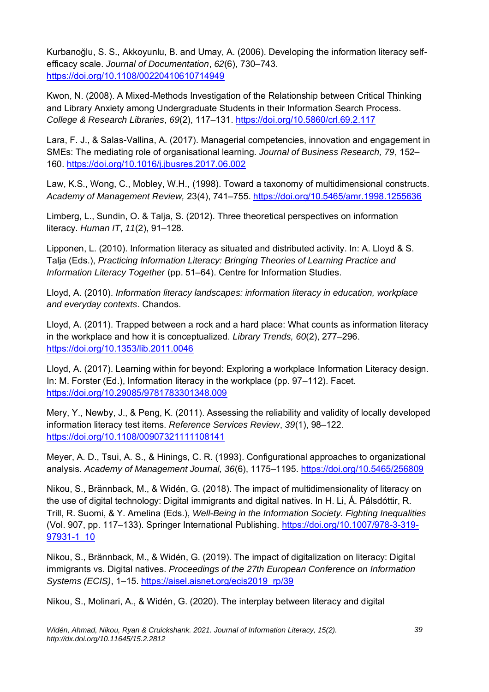Kurbanoğlu, S. S., Akkoyunlu, B. and Umay, A. (2006). Developing the information literacy selfefficacy scale. *Journal of Documentation*, *62*(6), 730–743. <https://doi.org/10.1108/00220410610714949>

Kwon, N. (2008). A Mixed-Methods Investigation of the Relationship between Critical Thinking and Library Anxiety among Undergraduate Students in their Information Search Process. *College & Research Libraries*, *69*(2), 117–131.<https://doi.org/10.5860/crl.69.2.117>

Lara, F. J., & Salas-Vallina, A. (2017). Managerial competencies, innovation and engagement in SMEs: The mediating role of organisational learning. *Journal of Business Research, 79*, 152– 160. <https://doi.org/10.1016/j.jbusres.2017.06.002>

Law, K.S., Wong, C., Mobley, W.H., (1998). Toward a taxonomy of multidimensional constructs. *Academy of Management Review,* 23(4), 741–755. <https://doi.org/10.5465/amr.1998.1255636>

Limberg, L., Sundin, O. & Talja, S. (2012). Three theoretical perspectives on information literacy. *Human IT*, *11*(2), 91–128.

Lipponen, L. (2010). Information literacy as situated and distributed activity. In: A. Lloyd & S. Talja (Eds.), *Practicing Information Literacy: Bringing Theories of Learning Practice and Information Literacy Together* (pp. 51–64). Centre for Information Studies.

Lloyd, A. (2010). *Information literacy landscapes: information literacy in education, workplace and everyday contexts*. Chandos.

Lloyd, A. (2011). Trapped between a rock and a hard place: What counts as information literacy in the workplace and how it is conceptualized. *Library Trends, 60*(2), 277–296. <https://doi.org/10.1353/lib.2011.0046>

Lloyd, A. (2017). Learning within for beyond: Exploring a workplace Information Literacy design. In: M. Forster (Ed.), Information literacy in the workplace (pp. 97–112). Facet. <https://doi.org/10.29085/9781783301348.009>

Mery, Y., Newby, J., & Peng, K. (2011). Assessing the reliability and validity of locally developed information literacy test items. *Reference Services Review*, *39*(1), 98–122. <https://doi.org/10.1108/00907321111108141>

Meyer, A. D., Tsui, A. S., & Hinings, C. R. (1993). Configurational approaches to organizational analysis. *Academy of Management Journal, 36*(6), 1175–1195.<https://doi.org/10.5465/256809>

Nikou, S., Brännback, M., & Widén, G. (2018). The impact of multidimensionality of literacy on the use of digital technology: Digital immigrants and digital natives. In H. Li, Á. Pálsdóttir, R. Trill, R. Suomi, & Y. Amelina (Eds.), *Well-Being in the Information Society. Fighting Inequalities* (Vol. 907, pp. 117–133). Springer International Publishing. [https://doi.org/10.1007/978-3-319-](https://doi.org/10.1007/978-3-319-97931-1_10) [97931-1\\_10](https://doi.org/10.1007/978-3-319-97931-1_10)

Nikou, S., Brännback, M., & Widén, G. (2019). The impact of digitalization on literacy: Digital immigrants vs. Digital natives. *Proceedings of the 27th European Conference on Information Systems (ECIS)*, 1–15. [https://aisel.aisnet.org/ecis2019\\_rp/39](https://aisel.aisnet.org/ecis2019_rp/39)

Nikou, S., Molinari, A., & Widén, G. (2020). The interplay between literacy and digital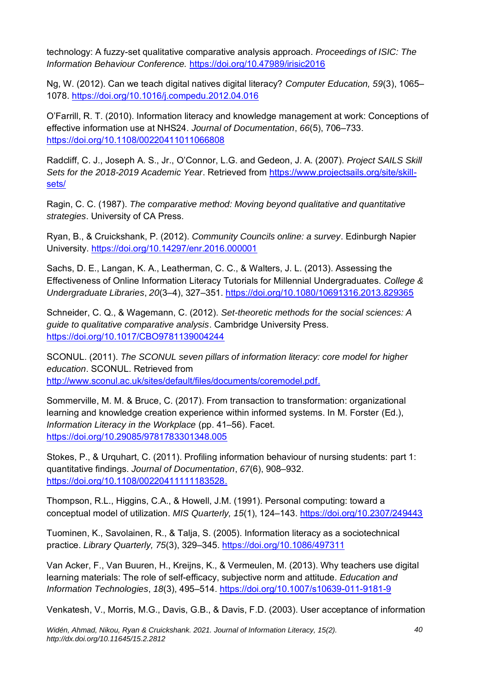technology: A fuzzy-set qualitative comparative analysis approach. *Proceedings of ISIC: The Information Behaviour Conference.* <https://doi.org/10.47989/irisic2016>

Ng, W. (2012). Can we teach digital natives digital literacy? *Computer Education, 59*(3), 1065– 1078. <https://doi.org/10.1016/j.compedu.2012.04.016>

O'Farrill, R. T. (2010). Information literacy and knowledge management at work: Conceptions of effective information use at NHS24. *Journal of Documentation*, *66*(5), 706–733. <https://doi.org/10.1108/00220411011066808>

Radcliff, C. J., Joseph A. S., Jr., O'Connor, L.G. and Gedeon, J. A. (2007). *Project SAILS Skill Sets for the 2018-2019 Academic Year*. Retrieved from [https://www.projectsails.org/site/skill](https://www.projectsails.org/site/skill-sets/)[sets/](https://www.projectsails.org/site/skill-sets/)

Ragin, C. C. (1987). *The comparative method: Moving beyond qualitative and quantitative strategies*. University of CA Press.

Ryan, B., & Cruickshank, P. (2012). *Community Councils online: a survey*. Edinburgh Napier University.<https://doi.org/10.14297/enr.2016.000001>

Sachs, D. E., Langan, K. A., Leatherman, C. C., & Walters, J. L. (2013). Assessing the Effectiveness of Online Information Literacy Tutorials for Millennial Undergraduates. *College & Undergraduate Libraries*, *20*(3–4), 327–351.<https://doi.org/10.1080/10691316.2013.829365>

Schneider, C. Q., & Wagemann, C. (2012). *Set-theoretic methods for the social sciences: A guide to qualitative comparative analysis*. Cambridge University Press. <https://doi.org/10.1017/CBO9781139004244>

SCONUL. (2011). *The SCONUL seven pillars of information literacy: core model for higher education*. SCONUL. Retrieved from [http://www.sconul.ac.uk/sites/default/files/documents/coremodel.pdf.](http://www.sconul.ac.uk/sites/default/files/documents/coremodel.pdf)

Sommerville, M. M. & Bruce, C. (2017). From transaction to transformation: organizational learning and knowledge creation experience within informed systems. In M. Forster (Ed.), *Information Literacy in the Workplace* (pp. 41–56). Facet. <https://doi.org/10.29085/9781783301348.005>

Stokes, P., & Urquhart, C. (2011). Profiling information behaviour of nursing students: part 1: quantitative findings. *Journal of Documentation*, *67*(6), 908–932. [https://doi.org/10.1108/00220411111183528.](https://doi.org/10.1108/00220411111183528)

Thompson, R.L., Higgins, C.A., & Howell, J.M. (1991). Personal computing: toward a conceptual model of utilization. *MIS Quarterly, 15*(1), 124–143. <https://doi.org/10.2307/249443>

Tuominen, K., Savolainen, R., & Talja, S. (2005). Information literacy as a sociotechnical practice. *Library Quarterly, 75*(3), 329–345. <https://doi.org/10.1086/497311>

Van Acker, F., Van Buuren, H., Kreijns, K., & Vermeulen, M. (2013). Why teachers use digital learning materials: The role of self-efficacy, subjective norm and attitude. *Education and Information Technologies*, *18*(3), 495–514. <https://doi.org/10.1007/s10639-011-9181-9>

Venkatesh, V., Morris, M.G., Davis, G.B., & Davis, F.D. (2003). User acceptance of information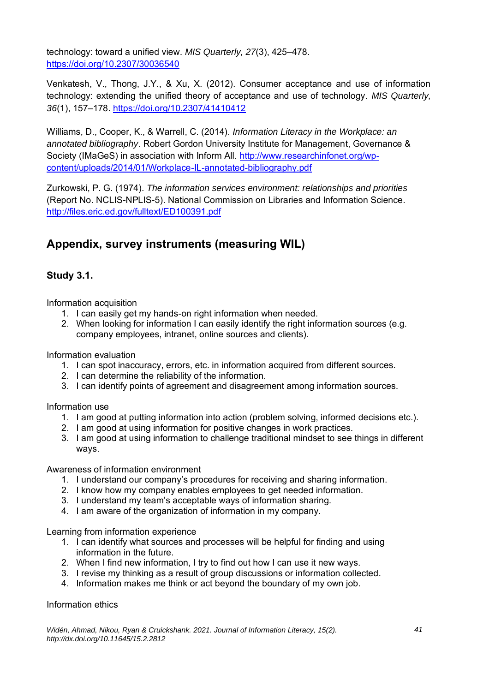technology: toward a unified view. *MIS Quarterly, 27*(3), 425–478. <https://doi.org/10.2307/30036540>

Venkatesh, V., Thong, J.Y., & Xu, X. (2012). Consumer acceptance and use of information technology: extending the unified theory of acceptance and use of technology. *MIS Quarterly, 36*(1), 157–178. <https://doi.org/10.2307/41410412>

Williams, D., Cooper, K., & Warrell, C. (2014). *Information Literacy in the Workplace: an annotated bibliography*. Robert Gordon University Institute for Management, Governance & Society (IMaGeS) in association with Inform All. [http://www.researchinfonet.org/wp](http://www.researchinfonet.org/wp-content/uploads/2014/01/Workplace-IL-annotated-bibliography.pdf)[content/uploads/2014/01/Workplace-IL-annotated-bibliography.pdf](http://www.researchinfonet.org/wp-content/uploads/2014/01/Workplace-IL-annotated-bibliography.pdf)

Zurkowski, P. G. (1974). *The information services environment: relationships and priorities* (Report No. NCLIS-NPLIS-5). National Commission on Libraries and Information Science. <http://files.eric.ed.gov/fulltext/ED100391.pdf>

## **Appendix, survey instruments (measuring WIL)**

### **Study 3.1.**

Information acquisition

- 1. I can easily get my hands-on right information when needed.
- 2. When looking for information I can easily identify the right information sources (e.g. company employees, intranet, online sources and clients).

Information evaluation

- 1. I can spot inaccuracy, errors, etc. in information acquired from different sources.
- 2. I can determine the reliability of the information.
- 3. I can identify points of agreement and disagreement among information sources.

Information use

- 1. I am good at putting information into action (problem solving, informed decisions etc.).
- 2. I am good at using information for positive changes in work practices.
- 3. I am good at using information to challenge traditional mindset to see things in different ways.

Awareness of information environment

- 1. I understand our company's procedures for receiving and sharing information.
- 2. I know how my company enables employees to get needed information.
- 3. I understand my team's acceptable ways of information sharing.
- 4. I am aware of the organization of information in my company.

Learning from information experience

- 1. I can identify what sources and processes will be helpful for finding and using information in the future.
- 2. When I find new information, I try to find out how I can use it new ways.
- 3. I revise my thinking as a result of group discussions or information collected.
- 4. Information makes me think or act beyond the boundary of my own job.

Information ethics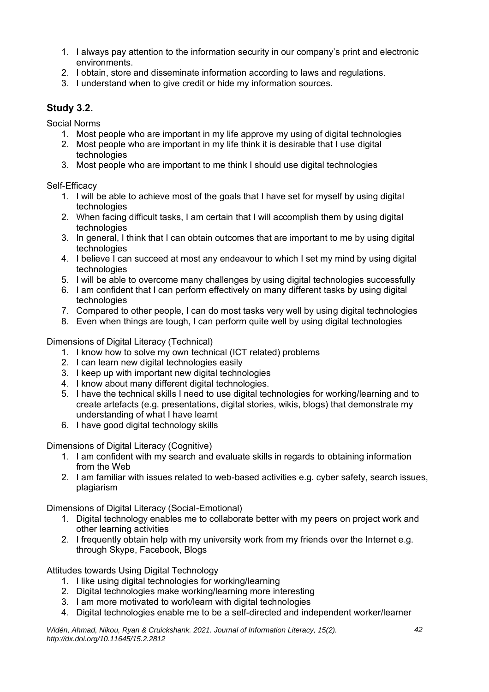- 1. I always pay attention to the information security in our company's print and electronic environments.
- 2. I obtain, store and disseminate information according to laws and regulations.
- 3. I understand when to give credit or hide my information sources.

#### **Study 3.2.**

Social Norms

- 1. Most people who are important in my life approve my using of digital technologies
- 2. Most people who are important in my life think it is desirable that I use digital technologies
- 3. Most people who are important to me think I should use digital technologies

Self-Efficacy

- 1. I will be able to achieve most of the goals that I have set for myself by using digital technologies
- 2. When facing difficult tasks, I am certain that I will accomplish them by using digital technologies
- 3. In general, I think that I can obtain outcomes that are important to me by using digital technologies
- 4. I believe I can succeed at most any endeavour to which I set my mind by using digital technologies
- 5. I will be able to overcome many challenges by using digital technologies successfully
- 6. I am confident that I can perform effectively on many different tasks by using digital technologies
- 7. Compared to other people, I can do most tasks very well by using digital technologies
- 8. Even when things are tough, I can perform quite well by using digital technologies

Dimensions of Digital Literacy (Technical)

- 1. I know how to solve my own technical (ICT related) problems
- 2. I can learn new digital technologies easily
- 3. I keep up with important new digital technologies
- 4. I know about many different digital technologies.
- 5. I have the technical skills I need to use digital technologies for working/learning and to create artefacts (e.g. presentations, digital stories, wikis, blogs) that demonstrate my understanding of what I have learnt
- 6. I have good digital technology skills

Dimensions of Digital Literacy (Cognitive)

- 1. I am confident with my search and evaluate skills in regards to obtaining information from the Web
- 2. I am familiar with issues related to web-based activities e.g. cyber safety, search issues, plagiarism

Dimensions of Digital Literacy (Social-Emotional)

- 1. Digital technology enables me to collaborate better with my peers on project work and other learning activities
- 2. I frequently obtain help with my university work from my friends over the Internet e.g. through Skype, Facebook, Blogs

Attitudes towards Using Digital Technology

- 1. I like using digital technologies for working/learning
- 2. Digital technologies make working/learning more interesting
- 3. I am more motivated to work/learn with digital technologies
- 4. Digital technologies enable me to be a self-directed and independent worker/learner

*Widén, Ahmad, Nikou, Ryan & Cruickshank. 2021. Journal of Information Literacy, 15(2). http://dx.doi.org/10.11645/15.2.2812*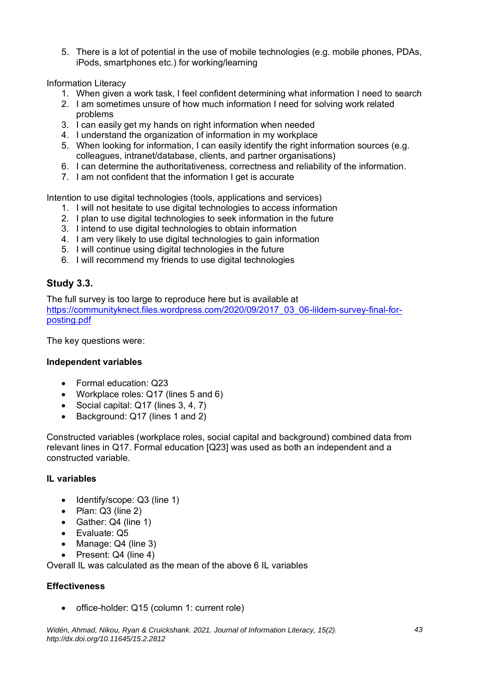5. There is a lot of potential in the use of mobile technologies (e.g. mobile phones, PDAs, iPods, smartphones etc.) for working/learning

Information Literacy

- 1. When given a work task, I feel confident determining what information I need to search
- 2. I am sometimes unsure of how much information I need for solving work related problems
- 3. I can easily get my hands on right information when needed
- 4. I understand the organization of information in my workplace
- 5. When looking for information, I can easily identify the right information sources (e.g. colleagues, intranet/database, clients, and partner organisations)
- 6. I can determine the authoritativeness, correctness and reliability of the information.
- 7. I am not confident that the information I get is accurate

Intention to use digital technologies (tools, applications and services)

- 1. I will not hesitate to use digital technologies to access information
- 2. I plan to use digital technologies to seek information in the future
- 3. I intend to use digital technologies to obtain information
- 4. I am very likely to use digital technologies to gain information
- 5. I will continue using digital technologies in the future
- 6. I will recommend my friends to use digital technologies

### **Study 3.3.**

The full survey is too large to reproduce here but is available at [https://communityknect.files.wordpress.com/2020/09/2017\\_03\\_06-lildem-survey-final-for](https://communityknect.files.wordpress.com/2020/09/2017_03_06-lildem-survey-final-for-posting.pdf)[posting.pdf](https://communityknect.files.wordpress.com/2020/09/2017_03_06-lildem-survey-final-for-posting.pdf)

The key questions were:

#### **Independent variables**

- Formal education: Q23
- Workplace roles: Q17 (lines 5 and 6)
- Social capital: Q17 (lines 3, 4, 7)
- Background: Q17 (lines 1 and 2)

Constructed variables (workplace roles, social capital and background) combined data from relevant lines in Q17. Formal education [Q23] was used as both an independent and a constructed variable.

#### **IL variables**

- Identify/scope: Q3 (line 1)
- Plan: Q3 (line 2)
- Gather: Q4 (line 1)
- Evaluate: Q5
- Manage: Q4 (line 3)
- Present: Q4 (line 4)

Overall IL was calculated as the mean of the above 6 IL variables

#### **Effectiveness**

• office-holder: Q15 (column 1: current role)

*Widén, Ahmad, Nikou, Ryan & Cruickshank. 2021. Journal of Information Literacy, 15(2). http://dx.doi.org/10.11645/15.2.2812*